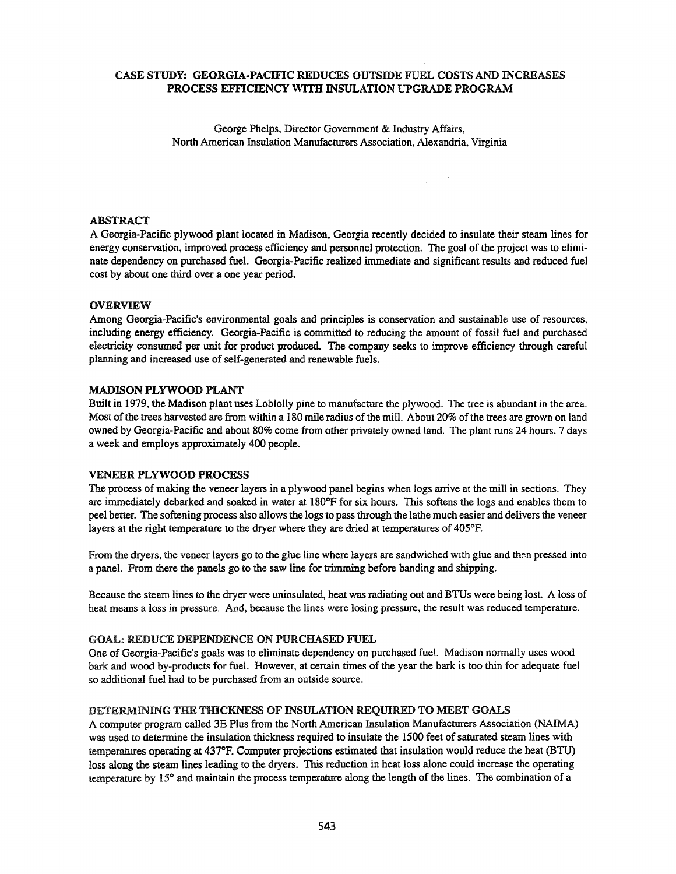# CASE STUDY: GEORGIA-PACIFIC REDUCES OUTSIDE FUEL COSTS AND INCREASES PROCESS EFFICIENCY WITH INSULATION UPGRADE PROGRAM

George Phelps, Director Government & Industry Affairs, North American Insulation Manufacturers Association, Alexandria, Virginia

 $\chi^2 \sim 2$ 

# ABSTRACT

A Georgia-Pacific plywood plant located in Madison, Georgia recently decided to insulate their steam lines for energy conservation, improved process efficiency and personnel protection. The goal of the project was to eliminate dependency on purchased fuel. Georgia-Pacific realized immediate and significant results and reduced fuel cost by about one third over a one year period.

### OVERVIEW

Among Georgia-Pacific's environmental goals and principles is conservation and sustainable use of resources, including energy efficiency. Georgia-Pacific is committed to reducing the amount of fossil fuel and purchased electricity consumed per unit for product produced. The company seeks to improve efficiency through careful planning and increased use of self-generated and renewable fuels.

### MADISON PLYWOOD PLANT

Built in 1979, the Madison plant uses Loblolly pine to manufacture the plywood. The tree is abundant in the area. Most of the trees harvested are from within a 180 mile radius of the mill. About 20% of the trees are grown on land owned by Georgia-Pacific and about 80% come from other privately owned land. The plant runs 24 hours, 7 days a week and employs approximately 400 people.

### VENEER PLYWOOD PROCESS

The process of making the veneer layers in a plywood panel begins when logs arrive at the mill in sections. They are immediately debarked and soaked in water at 180°F for six hours. This softens the logs and enables them to peel better. The softening process also allows the logs to passthrough the lathe much easier and delivers the veneer layers at the right temperature to the dryer where they are dried at temperatures of 405°F.

From the dryers, the veneer layers go to the glue line where layers are sandwiched with glue and then pressed into a panel. From there the panels go to the saw line for trimming before banding and shipping.

Because the steam lines to the dryer were uninsulated, heat was radiating out and BTUs were being lost. A loss of heat means a loss in pressure. And, because the lines were losing pressure, the result was reduced temperature.

### GOAL: REDUCE DEPENDENCE ON PURCHASED FUEL

One of Georgia-Pacific's goals was to eliminate dependency on purchased fuel. Madison normally uses wood bark and wood by-products for fuel. However, at certain times of the year the bark is too thin for adequate fuel so additional fuel had to be purchased from an outside source.

# DETERMINING THE THICKNESS OF INSULATION REQUIRED TO MEET GOALS

A computer program called 3E Plus from the North American Insulation Manufacturers Association (NAIMA) was used to determine the insulation thickness required to insulate the 1500 feet of saturated steam lines with temperatures operating at 437°F. Computer projections estimated that insulation would reduce the heat (BTU) loss along the steam lines leading to the dryers. This reduction in heat loss alone could increase the operating temperature by 15° and maintain the process temperature along the length of the lines. The combination of a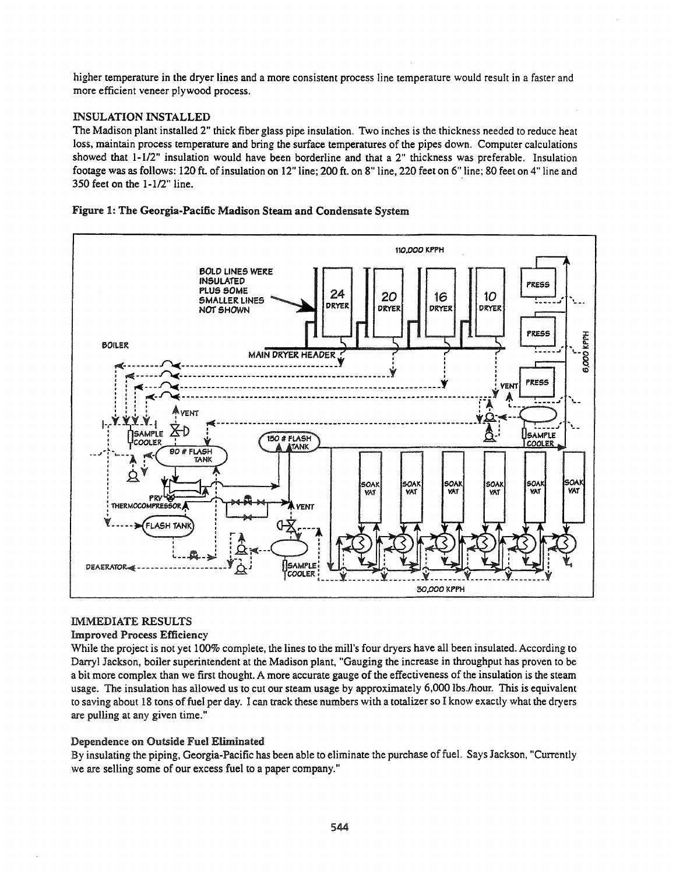higher temperature in the dryer lines and a more consistent process line temperature would result in a faster and more efficient veneer plywood process.

## **INSULATION INSTALLED**

The Madison plant installed 2" thick fiber glass pipe insulation. Two inches is the thickness needed to reduce heat loss, maintain process temperature and bring the surface temperatures of the pipes down. Computer calculations showed that 1-1/2" insulation would have been borderline and that a 2" thickness was preferable. Insulation footage was as follows: 120 ft. of insulation on 12" line; 200 ft. on 8" line, 220 feet on 6" line; 80 feet on 4" line and 350 feet on the 1-1/2" line.

## Figure 1: The Georgia-Pacific Madison Steam and Condensate System



# **IMMEDIATE RESULTS**

### **Improved Process Efficiency**

While the project is not yet 100% complete, the lines to the mill's four dryers have all been insulated. According to Darryl Jackson, boiler superintendent at the Madison plant, "Gauging the increase in throughput has proven to be a bit more complex than we first thought. A more accurate gauge of the effectiveness of the insulation is the steam usage. The insulation has allowed us to cut our steam usage by approximately 6,000 lbs./hour. This is equivalent to saving about 18 tons of fuel per day. I can track these numbers with a totalizer so I know exactly what the dryers are pulling at any given time."

### Dependence on Outside Fuel Eliminated

By insulating the piping, Georgia-Pacific has been able to eliminate the purchase of fuel. Says Jackson, "Currently we are selling some of our excess fuel to a paper company."